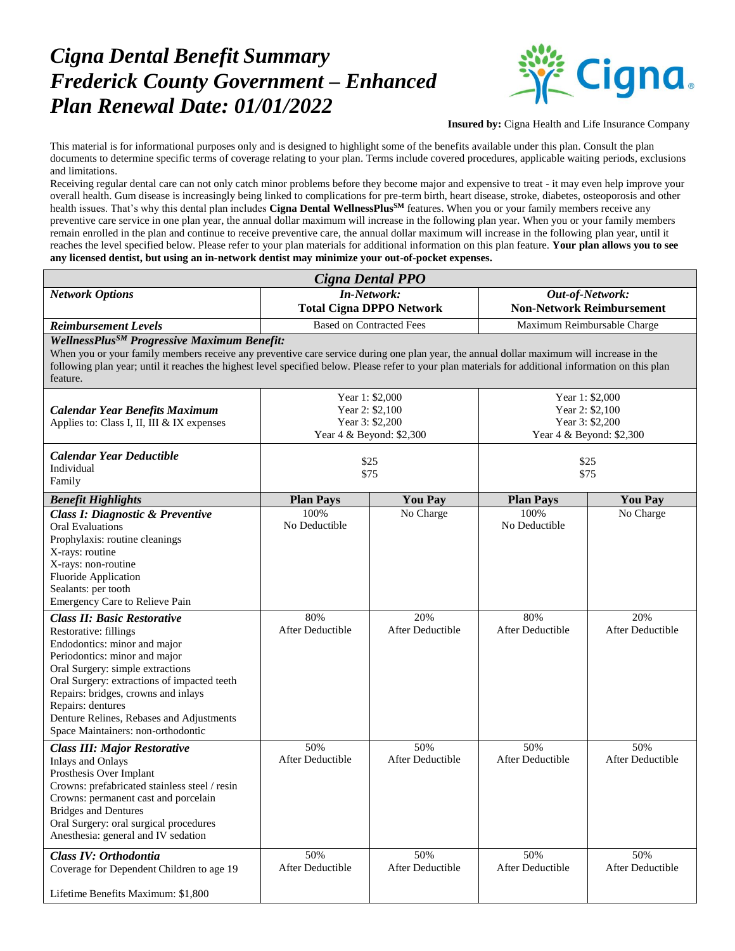## *Cigna Dental Benefit Summary Frederick County Government – Enhanced Plan Renewal Date: 01/01/2022*



**Insured by:** Cigna Health and Life Insurance Company

This material is for informational purposes only and is designed to highlight some of the benefits available under this plan. Consult the plan documents to determine specific terms of coverage relating to your plan. Terms include covered procedures, applicable waiting periods, exclusions and limitations.

Receiving regular dental care can not only catch minor problems before they become major and expensive to treat - it may even help improve your overall health. Gum disease is increasingly being linked to complications for pre-term birth, heart disease, stroke, diabetes, osteoporosis and other health issues. That's why this dental plan includes **Cigna Dental WellnessPlusSM** features. When you or your family members receive any preventive care service in one plan year, the annual dollar maximum will increase in the following plan year. When you or your family members remain enrolled in the plan and continue to receive preventive care, the annual dollar maximum will increase in the following plan year, until it reaches the level specified below. Please refer to your plan materials for additional information on this plan feature. **Your plan allows you to see any licensed dentist, but using an in-network dentist may minimize your out-of-pocket expenses.**

| Cigna Dental PPO                                                                                                                                                                                                                                                                                                                                                        |                                                                                   |                                |                                                                                   |                                |  |  |  |
|-------------------------------------------------------------------------------------------------------------------------------------------------------------------------------------------------------------------------------------------------------------------------------------------------------------------------------------------------------------------------|-----------------------------------------------------------------------------------|--------------------------------|-----------------------------------------------------------------------------------|--------------------------------|--|--|--|
| <b>Network Options</b>                                                                                                                                                                                                                                                                                                                                                  | <b>In-Network:</b>                                                                |                                | Out-of-Network:                                                                   |                                |  |  |  |
|                                                                                                                                                                                                                                                                                                                                                                         | <b>Total Cigna DPPO Network</b>                                                   |                                | <b>Non-Network Reimbursement</b>                                                  |                                |  |  |  |
| <b>Reimbursement Levels</b>                                                                                                                                                                                                                                                                                                                                             | <b>Based on Contracted Fees</b>                                                   |                                | Maximum Reimbursable Charge                                                       |                                |  |  |  |
| WellnessPlus <sup>SM</sup> Progressive Maximum Benefit:<br>When you or your family members receive any preventive care service during one plan year, the annual dollar maximum will increase in the<br>following plan year; until it reaches the highest level specified below. Please refer to your plan materials for additional information on this plan<br>feature. |                                                                                   |                                |                                                                                   |                                |  |  |  |
| <b>Calendar Year Benefits Maximum</b><br>Applies to: Class I, II, III & IX expenses                                                                                                                                                                                                                                                                                     | Year 1: \$2,000<br>Year 2: \$2,100<br>Year 3: \$2,200<br>Year 4 & Beyond: \$2,300 |                                | Year 1: \$2,000<br>Year 2: \$2,100<br>Year 3: \$2,200<br>Year 4 & Beyond: \$2,300 |                                |  |  |  |
| <b>Calendar Year Deductible</b><br>Individual<br>Family                                                                                                                                                                                                                                                                                                                 | \$25<br>\$75                                                                      |                                | \$25<br>\$75                                                                      |                                |  |  |  |
| <b>Benefit Highlights</b>                                                                                                                                                                                                                                                                                                                                               | <b>Plan Pays</b>                                                                  | <b>You Pay</b>                 | <b>Plan Pays</b>                                                                  | <b>You Pay</b>                 |  |  |  |
| <b>Class I: Diagnostic &amp; Preventive</b><br><b>Oral Evaluations</b><br>Prophylaxis: routine cleanings<br>X-rays: routine<br>X-rays: non-routine<br>Fluoride Application<br>Sealants: per tooth<br>Emergency Care to Relieve Pain                                                                                                                                     | 100%<br>No Deductible                                                             | No Charge                      | 100%<br>No Deductible                                                             | No Charge                      |  |  |  |
| <b>Class II: Basic Restorative</b><br>Restorative: fillings<br>Endodontics: minor and major<br>Periodontics: minor and major<br>Oral Surgery: simple extractions<br>Oral Surgery: extractions of impacted teeth<br>Repairs: bridges, crowns and inlays<br>Repairs: dentures<br>Denture Relines, Rebases and Adjustments<br>Space Maintainers: non-orthodontic           | 80%<br><b>After Deductible</b>                                                    | 20%<br><b>After Deductible</b> | 80%<br><b>After Deductible</b>                                                    | 20%<br><b>After Deductible</b> |  |  |  |
| <b>Class III: Major Restorative</b><br><b>Inlays and Onlays</b><br>Prosthesis Over Implant<br>Crowns: prefabricated stainless steel / resin<br>Crowns: permanent cast and porcelain<br><b>Bridges and Dentures</b><br>Oral Surgery: oral surgical procedures<br>Anesthesia: general and IV sedation                                                                     | 50%<br><b>After Deductible</b>                                                    | 50%<br><b>After Deductible</b> | 50%<br><b>After Deductible</b>                                                    | 50%<br>After Deductible        |  |  |  |
| Class IV: Orthodontia<br>Coverage for Dependent Children to age 19<br>Lifetime Benefits Maximum: \$1,800                                                                                                                                                                                                                                                                | 50%<br>After Deductible                                                           | 50%<br>After Deductible        | 50%<br>After Deductible                                                           | 50%<br>After Deductible        |  |  |  |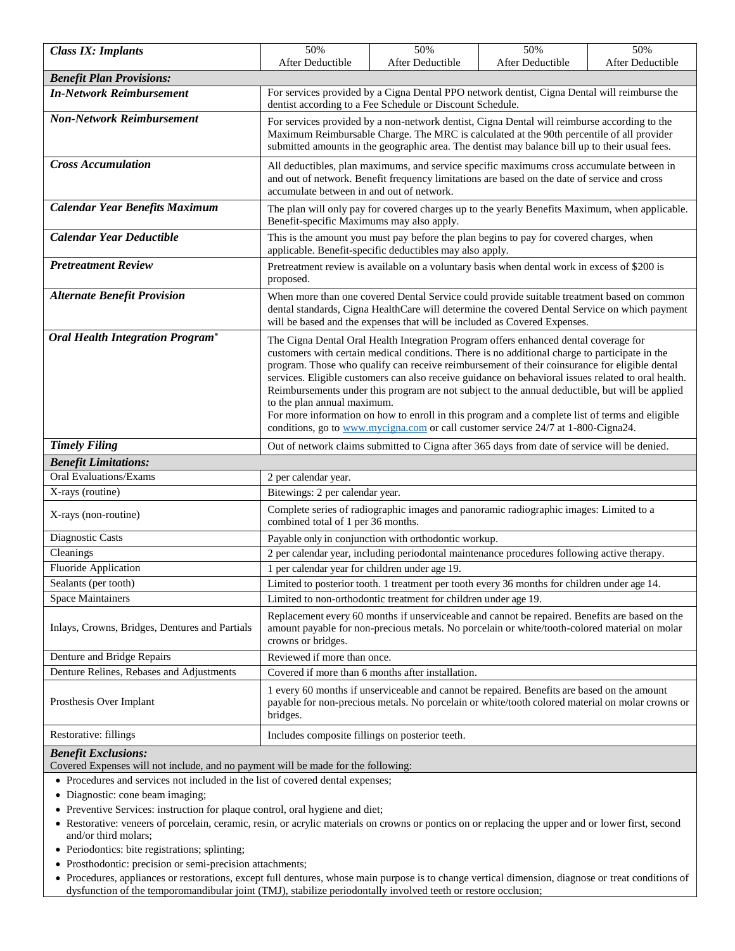| <b>Class IX: Implants</b>                                                                                                       | 50%                                                                                                                                                                                                                                                                                                                                                                                                                                                                                                                                                                                                                                                                                                                      | 50%                                                             | 50%              | 50%              |  |  |
|---------------------------------------------------------------------------------------------------------------------------------|--------------------------------------------------------------------------------------------------------------------------------------------------------------------------------------------------------------------------------------------------------------------------------------------------------------------------------------------------------------------------------------------------------------------------------------------------------------------------------------------------------------------------------------------------------------------------------------------------------------------------------------------------------------------------------------------------------------------------|-----------------------------------------------------------------|------------------|------------------|--|--|
| <b>Benefit Plan Provisions:</b>                                                                                                 | After Deductible                                                                                                                                                                                                                                                                                                                                                                                                                                                                                                                                                                                                                                                                                                         | After Deductible                                                | After Deductible | After Deductible |  |  |
| For services provided by a Cigna Dental PPO network dentist, Cigna Dental will reimburse the<br><b>In-Network Reimbursement</b> |                                                                                                                                                                                                                                                                                                                                                                                                                                                                                                                                                                                                                                                                                                                          |                                                                 |                  |                  |  |  |
|                                                                                                                                 | dentist according to a Fee Schedule or Discount Schedule.                                                                                                                                                                                                                                                                                                                                                                                                                                                                                                                                                                                                                                                                |                                                                 |                  |                  |  |  |
| <b>Non-Network Reimbursement</b>                                                                                                | For services provided by a non-network dentist, Cigna Dental will reimburse according to the                                                                                                                                                                                                                                                                                                                                                                                                                                                                                                                                                                                                                             |                                                                 |                  |                  |  |  |
|                                                                                                                                 | Maximum Reimbursable Charge. The MRC is calculated at the 90th percentile of all provider                                                                                                                                                                                                                                                                                                                                                                                                                                                                                                                                                                                                                                |                                                                 |                  |                  |  |  |
| <b>Cross Accumulation</b>                                                                                                       | submitted amounts in the geographic area. The dentist may balance bill up to their usual fees.                                                                                                                                                                                                                                                                                                                                                                                                                                                                                                                                                                                                                           |                                                                 |                  |                  |  |  |
|                                                                                                                                 | All deductibles, plan maximums, and service specific maximums cross accumulate between in<br>and out of network. Benefit frequency limitations are based on the date of service and cross<br>accumulate between in and out of network.                                                                                                                                                                                                                                                                                                                                                                                                                                                                                   |                                                                 |                  |                  |  |  |
| <b>Calendar Year Benefits Maximum</b>                                                                                           | The plan will only pay for covered charges up to the yearly Benefits Maximum, when applicable.<br>Benefit-specific Maximums may also apply.                                                                                                                                                                                                                                                                                                                                                                                                                                                                                                                                                                              |                                                                 |                  |                  |  |  |
| <b>Calendar Year Deductible</b>                                                                                                 | This is the amount you must pay before the plan begins to pay for covered charges, when<br>applicable. Benefit-specific deductibles may also apply.                                                                                                                                                                                                                                                                                                                                                                                                                                                                                                                                                                      |                                                                 |                  |                  |  |  |
| <b>Pretreatment Review</b>                                                                                                      | Pretreatment review is available on a voluntary basis when dental work in excess of \$200 is<br>proposed.                                                                                                                                                                                                                                                                                                                                                                                                                                                                                                                                                                                                                |                                                                 |                  |                  |  |  |
| <b>Alternate Benefit Provision</b>                                                                                              | When more than one covered Dental Service could provide suitable treatment based on common<br>dental standards, Cigna HealthCare will determine the covered Dental Service on which payment<br>will be based and the expenses that will be included as Covered Expenses.                                                                                                                                                                                                                                                                                                                                                                                                                                                 |                                                                 |                  |                  |  |  |
| <b>Oral Health Integration Program®</b>                                                                                         | The Cigna Dental Oral Health Integration Program offers enhanced dental coverage for<br>customers with certain medical conditions. There is no additional charge to participate in the<br>program. Those who qualify can receive reimbursement of their coinsurance for eligible dental<br>services. Eligible customers can also receive guidance on behavioral issues related to oral health.<br>Reimbursements under this program are not subject to the annual deductible, but will be applied<br>to the plan annual maximum.<br>For more information on how to enroll in this program and a complete list of terms and eligible<br>conditions, go to www.mycigna.com or call customer service 24/7 at 1-800-Cigna24. |                                                                 |                  |                  |  |  |
| <b>Timely Filing</b>                                                                                                            | Out of network claims submitted to Cigna after 365 days from date of service will be denied.                                                                                                                                                                                                                                                                                                                                                                                                                                                                                                                                                                                                                             |                                                                 |                  |                  |  |  |
| <b>Benefit Limitations:</b>                                                                                                     |                                                                                                                                                                                                                                                                                                                                                                                                                                                                                                                                                                                                                                                                                                                          |                                                                 |                  |                  |  |  |
| <b>Oral Evaluations/Exams</b>                                                                                                   | 2 per calendar year.                                                                                                                                                                                                                                                                                                                                                                                                                                                                                                                                                                                                                                                                                                     |                                                                 |                  |                  |  |  |
| X-rays (routine)                                                                                                                | Bitewings: 2 per calendar year.                                                                                                                                                                                                                                                                                                                                                                                                                                                                                                                                                                                                                                                                                          |                                                                 |                  |                  |  |  |
| X-rays (non-routine)                                                                                                            | Complete series of radiographic images and panoramic radiographic images: Limited to a<br>combined total of 1 per 36 months.                                                                                                                                                                                                                                                                                                                                                                                                                                                                                                                                                                                             |                                                                 |                  |                  |  |  |
| Diagnostic Casts                                                                                                                | Payable only in conjunction with orthodontic workup.                                                                                                                                                                                                                                                                                                                                                                                                                                                                                                                                                                                                                                                                     |                                                                 |                  |                  |  |  |
| Cleanings                                                                                                                       | 2 per calendar year, including periodontal maintenance procedures following active therapy.                                                                                                                                                                                                                                                                                                                                                                                                                                                                                                                                                                                                                              |                                                                 |                  |                  |  |  |
| Fluoride Application                                                                                                            | 1 per calendar year for children under age 19.                                                                                                                                                                                                                                                                                                                                                                                                                                                                                                                                                                                                                                                                           |                                                                 |                  |                  |  |  |
| Sealants (per tooth)                                                                                                            | Limited to posterior tooth. 1 treatment per tooth every 36 months for children under age 14.                                                                                                                                                                                                                                                                                                                                                                                                                                                                                                                                                                                                                             |                                                                 |                  |                  |  |  |
| <b>Space Maintainers</b>                                                                                                        |                                                                                                                                                                                                                                                                                                                                                                                                                                                                                                                                                                                                                                                                                                                          | Limited to non-orthodontic treatment for children under age 19. |                  |                  |  |  |
| Inlays, Crowns, Bridges, Dentures and Partials                                                                                  | Replacement every 60 months if unserviceable and cannot be repaired. Benefits are based on the<br>amount payable for non-precious metals. No porcelain or white/tooth-colored material on molar<br>crowns or bridges.                                                                                                                                                                                                                                                                                                                                                                                                                                                                                                    |                                                                 |                  |                  |  |  |
| Denture and Bridge Repairs                                                                                                      | Reviewed if more than once.                                                                                                                                                                                                                                                                                                                                                                                                                                                                                                                                                                                                                                                                                              |                                                                 |                  |                  |  |  |
| Denture Relines, Rebases and Adjustments                                                                                        | Covered if more than 6 months after installation.                                                                                                                                                                                                                                                                                                                                                                                                                                                                                                                                                                                                                                                                        |                                                                 |                  |                  |  |  |
| Prosthesis Over Implant                                                                                                         | 1 every 60 months if unserviceable and cannot be repaired. Benefits are based on the amount<br>payable for non-precious metals. No porcelain or white/tooth colored material on molar crowns or<br>bridges.                                                                                                                                                                                                                                                                                                                                                                                                                                                                                                              |                                                                 |                  |                  |  |  |
| Restorative: fillings                                                                                                           | Includes composite fillings on posterior teeth.                                                                                                                                                                                                                                                                                                                                                                                                                                                                                                                                                                                                                                                                          |                                                                 |                  |                  |  |  |
| <b>Benefit Exclusions:</b>                                                                                                      |                                                                                                                                                                                                                                                                                                                                                                                                                                                                                                                                                                                                                                                                                                                          |                                                                 |                  |                  |  |  |

Covered Expenses will not include, and no payment will be made for the following:

Procedures and services not included in the list of covered dental expenses;

- Diagnostic: cone beam imaging;
- Preventive Services: instruction for plaque control, oral hygiene and diet;
- Restorative: veneers of porcelain, ceramic, resin, or acrylic materials on crowns or pontics on or replacing the upper and or lower first, second and/or third molars;
- Periodontics: bite registrations; splinting;
- Prosthodontic: precision or semi-precision attachments;
- Procedures, appliances or restorations, except full dentures, whose main purpose is to change vertical dimension, diagnose or treat conditions of dysfunction of the temporomandibular joint (TMJ), stabilize periodontally involved teeth or restore occlusion;